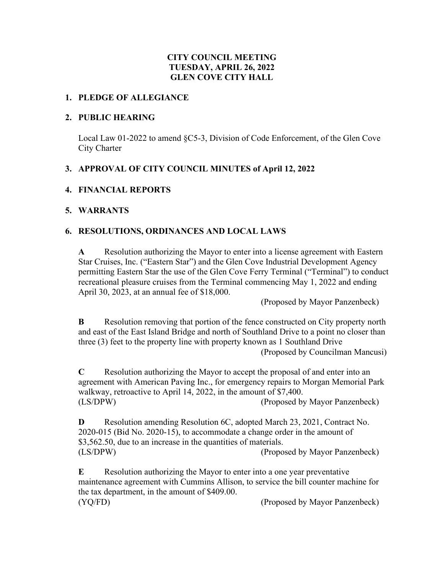# **CITY COUNCIL MEETING TUESDAY, APRIL 26, 2022 GLEN COVE CITY HALL**

### **1. PLEDGE OF ALLEGIANCE**

### **2. PUBLIC HEARING**

Local Law 01-2022 to amend §C5-3, Division of Code Enforcement, of the Glen Cove City Charter

# **3. APPROVAL OF CITY COUNCIL MINUTES of April 12, 2022**

## **4. FINANCIAL REPORTS**

## **5. WARRANTS**

# **6. RESOLUTIONS, ORDINANCES AND LOCAL LAWS**

**A** Resolution authorizing the Mayor to enter into a license agreement with Eastern Star Cruises, Inc. ("Eastern Star") and the Glen Cove Industrial Development Agency permitting Eastern Star the use of the Glen Cove Ferry Terminal ("Terminal") to conduct recreational pleasure cruises from the Terminal commencing May 1, 2022 and ending April 30, 2023, at an annual fee of \$18,000.

(Proposed by Mayor Panzenbeck)

**B** Resolution removing that portion of the fence constructed on City property north and east of the East Island Bridge and north of Southland Drive to a point no closer than three (3) feet to the property line with property known as 1 Southland Drive

(Proposed by Councilman Mancusi)

**C** Resolution authorizing the Mayor to accept the proposal of and enter into an agreement with American Paving Inc., for emergency repairs to Morgan Memorial Park walkway, retroactive to April 14, 2022, in the amount of \$7,400. (LS/DPW) (Proposed by Mayor Panzenbeck)

**D** Resolution amending Resolution 6C, adopted March 23, 2021, Contract No. 2020-015 (Bid No. 2020-15), to accommodate a change order in the amount of \$3,562.50, due to an increase in the quantities of materials. (LS/DPW) (Proposed by Mayor Panzenbeck)

**E** Resolution authorizing the Mayor to enter into a one year preventative maintenance agreement with Cummins Allison, to service the bill counter machine for the tax department, in the amount of \$409.00. (YQ/FD) (Proposed by Mayor Panzenbeck)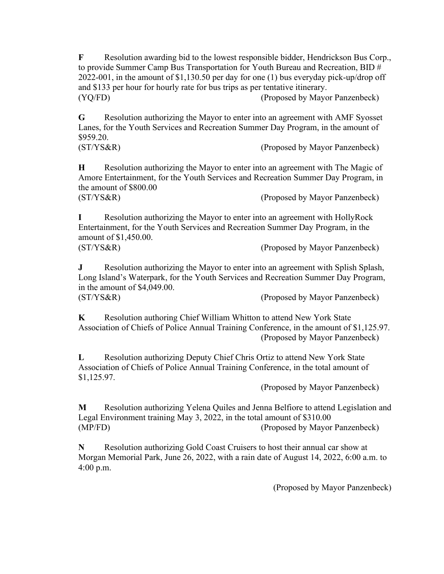**F** Resolution awarding bid to the lowest responsible bidder, Hendrickson Bus Corp., to provide Summer Camp Bus Transportation for Youth Bureau and Recreation, BID # 2022-001, in the amount of \$1,130.50 per day for one (1) bus everyday pick-up/drop off and \$133 per hour for hourly rate for bus trips as per tentative itinerary. (YQ/FD) (Proposed by Mayor Panzenbeck)

**G** Resolution authorizing the Mayor to enter into an agreement with AMF Syosset Lanes, for the Youth Services and Recreation Summer Day Program, in the amount of \$959.20.

(ST/YS&R) (Proposed by Mayor Panzenbeck)

**H** Resolution authorizing the Mayor to enter into an agreement with The Magic of Amore Entertainment, for the Youth Services and Recreation Summer Day Program, in the amount of \$800.00

(ST/YS&R) (Proposed by Mayor Panzenbeck)

**I** Resolution authorizing the Mayor to enter into an agreement with HollyRock Entertainment, for the Youth Services and Recreation Summer Day Program, in the amount of \$1,450.00. (ST/YS&R) (Proposed by Mayor Panzenbeck)

**J** Resolution authorizing the Mayor to enter into an agreement with Splish Splash, Long Island's Waterpark, for the Youth Services and Recreation Summer Day Program, in the amount of \$4,049.00. (ST/YS&R) (Proposed by Mayor Panzenbeck)

**K** Resolution authoring Chief William Whitton to attend New York State Association of Chiefs of Police Annual Training Conference, in the amount of \$1,125.97. (Proposed by Mayor Panzenbeck)

**L** Resolution authorizing Deputy Chief Chris Ortiz to attend New York State Association of Chiefs of Police Annual Training Conference, in the total amount of \$1,125.97.

(Proposed by Mayor Panzenbeck)

**M** Resolution authorizing Yelena Quiles and Jenna Belfiore to attend Legislation and Legal Environment training May 3, 2022, in the total amount of \$310.00 (MP/FD) (Proposed by Mayor Panzenbeck)

**N** Resolution authorizing Gold Coast Cruisers to host their annual car show at Morgan Memorial Park, June 26, 2022, with a rain date of August 14, 2022, 6:00 a.m. to 4:00 p.m.

(Proposed by Mayor Panzenbeck)